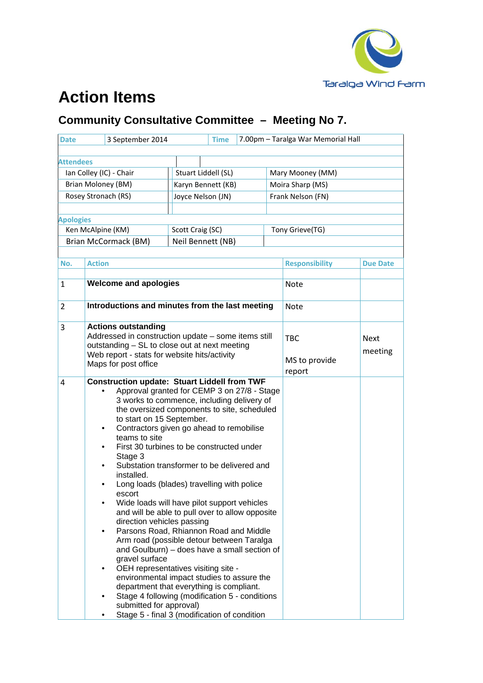

## **Action Items**

## **Community Consultative Committee – Meeting No 7.**

| 3 September 2014<br><b>Date</b> |                                                                                                |                                                                                               | 7.00pm - Taralga War Memorial Hall<br>Time |               |        |                       |                 |  |
|---------------------------------|------------------------------------------------------------------------------------------------|-----------------------------------------------------------------------------------------------|--------------------------------------------|---------------|--------|-----------------------|-----------------|--|
|                                 |                                                                                                |                                                                                               |                                            |               |        |                       |                 |  |
| <b>Attendees</b>                |                                                                                                |                                                                                               |                                            |               |        |                       |                 |  |
| Ian Colley (IC) - Chair         |                                                                                                |                                                                                               | Stuart Liddell (SL)                        |               |        | Mary Mooney (MM)      |                 |  |
| Brian Moloney (BM)              |                                                                                                |                                                                                               | Karyn Bennett (KB)                         |               |        | Moira Sharp (MS)      |                 |  |
| Rosey Stronach (RS)             |                                                                                                |                                                                                               | Joyce Nelson (JN)                          |               |        | Frank Nelson (FN)     |                 |  |
|                                 |                                                                                                |                                                                                               |                                            |               |        |                       |                 |  |
| <b>Apologies</b>                |                                                                                                |                                                                                               |                                            |               |        |                       |                 |  |
| Ken McAlpine (KM)               |                                                                                                |                                                                                               | Scott Craig (SC)                           |               |        | Tony Grieve(TG)       |                 |  |
|                                 | Brian McCormack (BM)                                                                           | Neil Bennett (NB)                                                                             |                                            |               |        |                       |                 |  |
|                                 |                                                                                                |                                                                                               |                                            |               |        |                       |                 |  |
| No.                             | <b>Action</b>                                                                                  |                                                                                               |                                            |               |        | <b>Responsibility</b> | <b>Due Date</b> |  |
| 1                               | <b>Welcome and apologies</b>                                                                   |                                                                                               |                                            |               |        | <b>Note</b>           |                 |  |
|                                 |                                                                                                |                                                                                               |                                            |               |        |                       |                 |  |
| $\overline{2}$                  |                                                                                                | Introductions and minutes from the last meeting                                               |                                            |               |        | <b>Note</b>           |                 |  |
|                                 |                                                                                                |                                                                                               |                                            |               |        |                       |                 |  |
| 3                               | <b>Actions outstanding</b>                                                                     |                                                                                               |                                            |               |        |                       |                 |  |
|                                 |                                                                                                | Addressed in construction update - some items still                                           |                                            |               |        | <b>TBC</b>            | <b>Next</b>     |  |
|                                 |                                                                                                | outstanding - SL to close out at next meeting<br>Web report - stats for website hits/activity |                                            |               |        |                       | meeting         |  |
|                                 | Maps for post office                                                                           |                                                                                               |                                            | MS to provide |        |                       |                 |  |
|                                 |                                                                                                |                                                                                               |                                            |               | report |                       |                 |  |
| 4                               | <b>Construction update: Stuart Liddell from TWF</b>                                            |                                                                                               |                                            |               |        |                       |                 |  |
|                                 | Approval granted for CEMP 3 on 27/8 - Stage<br>3 works to commence, including delivery of      |                                                                                               |                                            |               |        |                       |                 |  |
|                                 | the oversized components to site, scheduled                                                    |                                                                                               |                                            |               |        |                       |                 |  |
|                                 | to start on 15 September.                                                                      |                                                                                               |                                            |               |        |                       |                 |  |
|                                 |                                                                                                | Contractors given go ahead to remobilise<br>teams to site                                     |                                            |               |        |                       |                 |  |
|                                 |                                                                                                |                                                                                               | First 30 turbines to be constructed under  |               |        |                       |                 |  |
|                                 | Stage 3                                                                                        |                                                                                               |                                            |               |        |                       |                 |  |
|                                 | Substation transformer to be delivered and<br>installed.                                       |                                                                                               |                                            |               |        |                       |                 |  |
|                                 | Long loads (blades) travelling with police                                                     |                                                                                               |                                            |               |        |                       |                 |  |
|                                 | escort                                                                                         |                                                                                               |                                            |               |        |                       |                 |  |
|                                 | Wide loads will have pilot support vehicles<br>and will be able to pull over to allow opposite |                                                                                               |                                            |               |        |                       |                 |  |
|                                 | direction vehicles passing                                                                     |                                                                                               |                                            |               |        |                       |                 |  |
|                                 | Parsons Road, Rhiannon Road and Middle                                                         |                                                                                               |                                            |               |        |                       |                 |  |
|                                 | Arm road (possible detour between Taralga                                                      |                                                                                               |                                            |               |        |                       |                 |  |
|                                 | and Goulburn) – does have a small section of<br>gravel surface                                 |                                                                                               |                                            |               |        |                       |                 |  |
|                                 | OEH representatives visiting site -                                                            |                                                                                               |                                            |               |        |                       |                 |  |
|                                 | environmental impact studies to assure the                                                     |                                                                                               |                                            |               |        |                       |                 |  |
|                                 | department that everything is compliant.                                                       |                                                                                               |                                            |               |        |                       |                 |  |
|                                 | Stage 4 following (modification 5 - conditions<br>submitted for approval)                      |                                                                                               |                                            |               |        |                       |                 |  |
|                                 | Stage 5 - final 3 (modification of condition                                                   |                                                                                               |                                            |               |        |                       |                 |  |